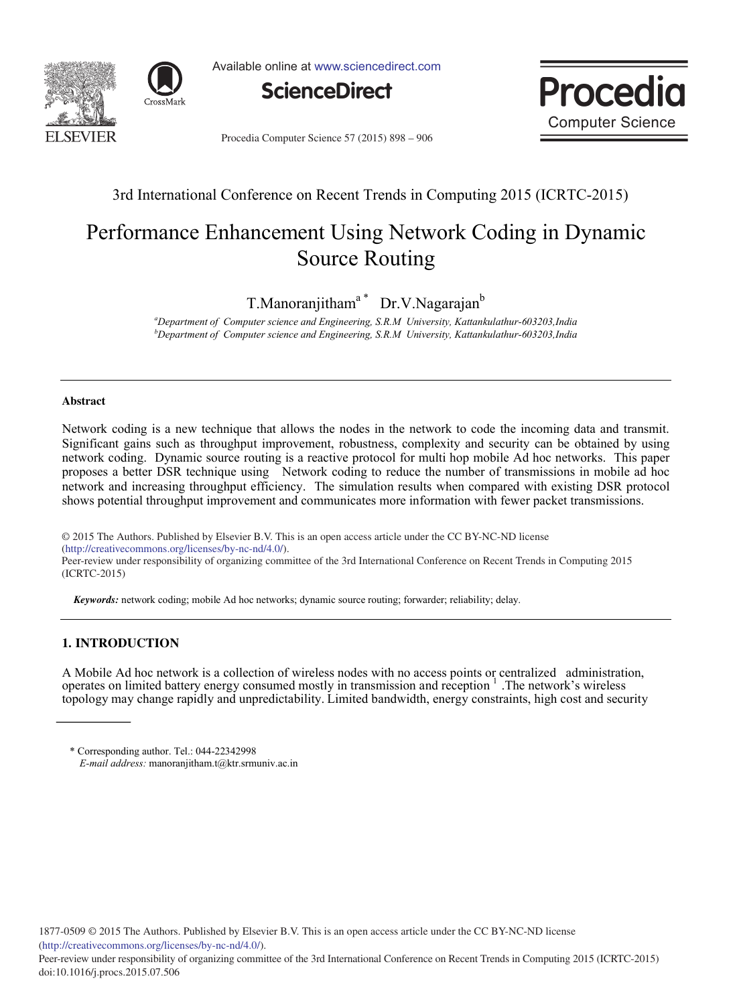



Available online at www.sciencedirect.com





Procedia Computer Science 57 (2015) 898 - 906

### 3rd International Conference on Recent Trends in Computing 2015 (ICRTC-2015)

# Performance Enhancement Using Network Coding in Dynamic Source Routing

T.Manoranjitham<sup>a</sup> Dr.V.Nagarajan<sup>b</sup>

*a Department of Computer science and Engineering, S.R.M University, Kattankulathur-603203,India b Department of Computer science and Engineering, S.R.M University, Kattankulathur-603203,India*

#### **Abstract**

Network coding is a new technique that allows the nodes in the network to code the incoming data and transmit. Significant gains such as throughput improvement, robustness, complexity and security can be obtained by using network coding. Dynamic source routing is a reactive protocol for multi hop mobile Ad hoc networks. This paper proposes a better DSR technique using Network coding to reduce the number of transmissions in mobile ad hoc network and increasing throughput efficiency. The simulation results when compared with existing DSR protocol shows potential throughput improvement and communicates more information with fewer packet transmissions.

© 2015 The Authors. Published by Elsevier B.V. (http://creativecommons.org/licenses/by-nc-nd/4.0/). Peer-review under responsibility of organizing committee of the 3rd International Conference on Recent Trends in Computing 2015 © 2015 The Authors. Published by Elsevier B.V. This is an open access article under the CC BY-NC-ND license

2015 (ICRTC-2015). (ICRTC-2015)

*Keywords:* network coding; mobile Ad hoc networks; dynamic source routing; forwarder; reliability; delay.

### **1. INTRODUCTION**

A Mobile Ad hoc network is a collection of wireless nodes with no access points or centralized administration, operates on limited battery energy consumed mostly in transmission and reception 1 .The network's wireless topology may change rapidly and unpredictability. Limited bandwidth, energy constraints, high cost and security

<sup>\*</sup> Corresponding author. Tel.: 044-22342998 *E-mail address:* manoranjitham.t@ktr.srmuniv.ac.in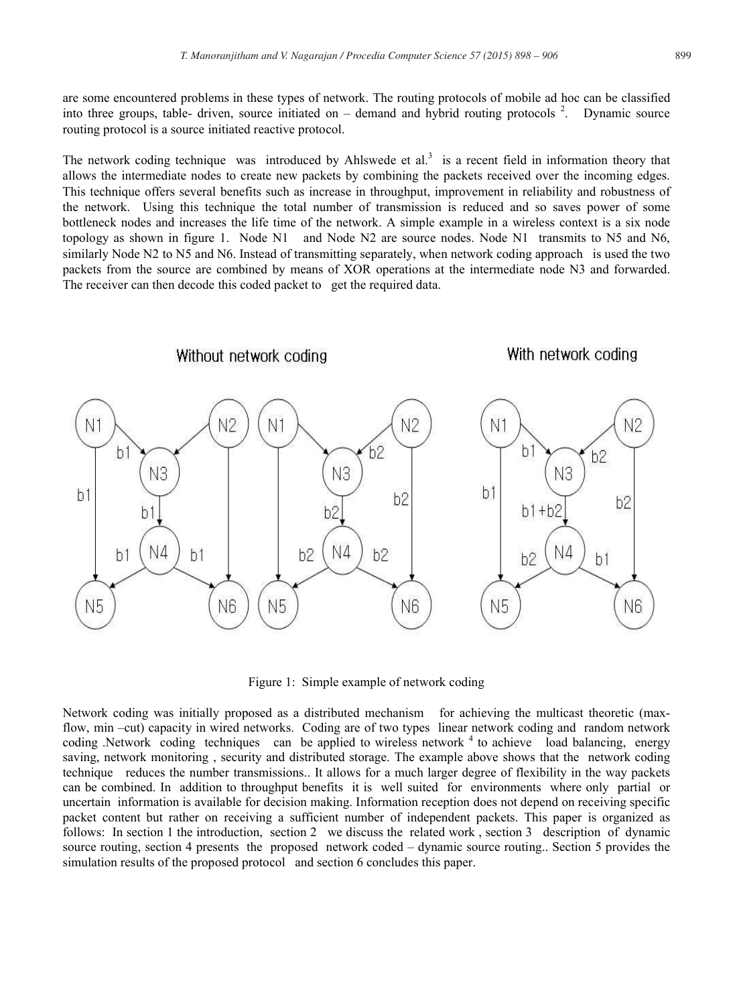are some encountered problems in these types of network. The routing protocols of mobile ad hoc can be classified into three groups, table- driven, source initiated on  $-$  demand and hybrid routing protocols  $2$ . Dynamic source routing protocol is a source initiated reactive protocol.

The network coding technique was introduced by Ahlswede et  $al.^3$  is a recent field in information theory that allows the intermediate nodes to create new packets by combining the packets received over the incoming edges. This technique offers several benefits such as increase in throughput, improvement in reliability and robustness of the network. Using this technique the total number of transmission is reduced and so saves power of some bottleneck nodes and increases the life time of the network. A simple example in a wireless context is a six node topology as shown in figure 1. Node N1 and Node N2 are source nodes. Node N1 transmits to N5 and N6, similarly Node N2 to N5 and N6. Instead of transmitting separately, when network coding approach is used the two packets from the source are combined by means of XOR operations at the intermediate node N3 and forwarded. The receiver can then decode this coded packet to get the required data.



Figure 1: Simple example of network coding

Network coding was initially proposed as a distributed mechanism for achieving the multicast theoretic (maxflow, min –cut) capacity in wired networks. Coding are of two types linear network coding and random network coding .Network coding techniques can be applied to wireless network <sup>4</sup> to achieve load balancing, energy saving, network monitoring , security and distributed storage. The example above shows that the network coding technique reduces the number transmissions.. It allows for a much larger degree of flexibility in the way packets can be combined. In addition to throughput benefits it is well suited for environments where only partial or uncertain information is available for decision making. Information reception does not depend on receiving specific packet content but rather on receiving a sufficient number of independent packets. This paper is organized as follows: In section 1 the introduction, section 2 we discuss the related work , section 3 description of dynamic source routing, section 4 presents the proposed network coded – dynamic source routing.. Section 5 provides the simulation results of the proposed protocol and section 6 concludes this paper.